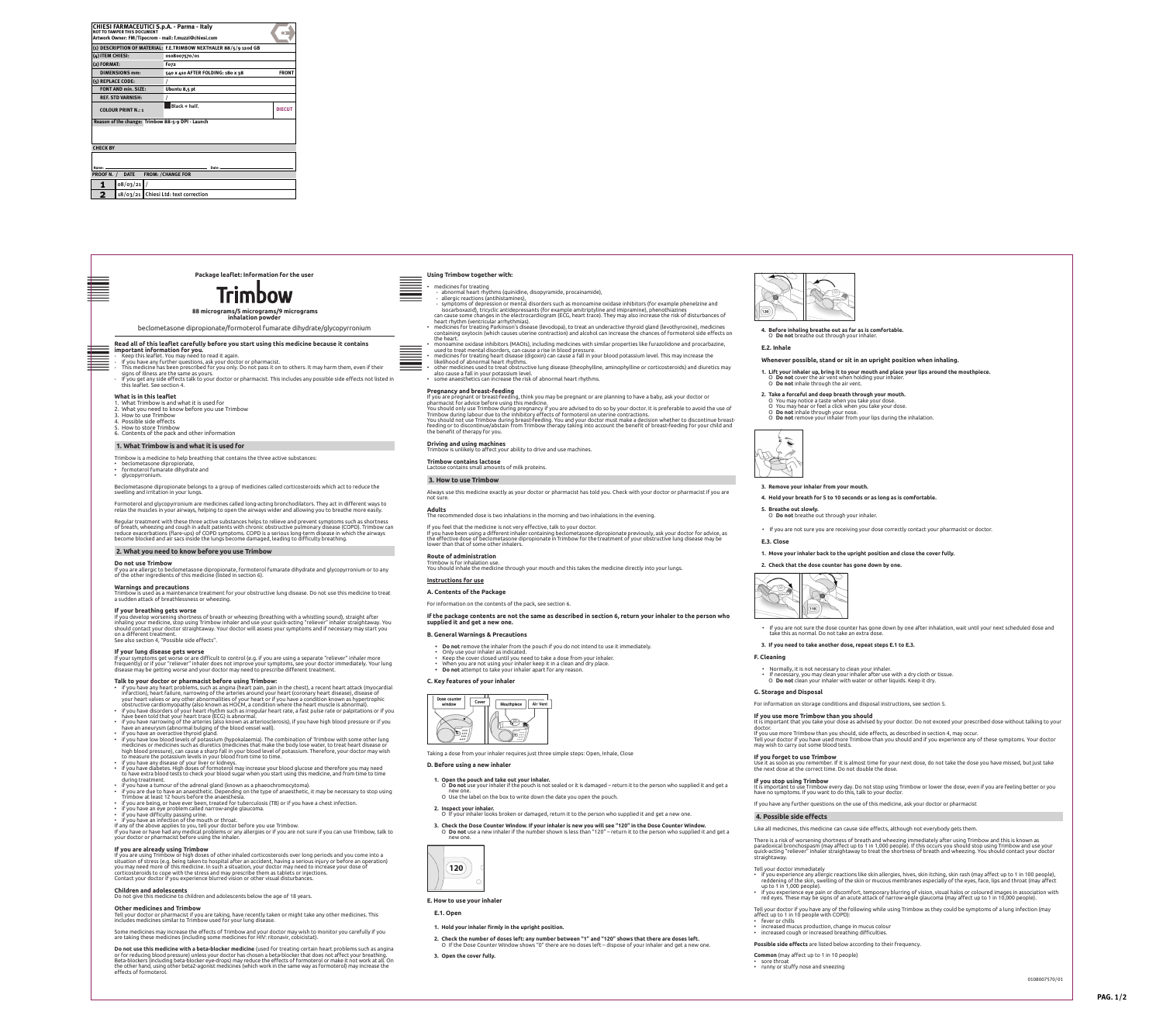**Other medicines and Trimbow** Tell your doctor or pharmacist if you are taking, have recently taken or might take any other medicines. This includes medicines similar to Trimbow used for your lung disease.

Some medicines may increase the effects of Trimbow and your doctor may wish to monitor you carefully if you are taking these medicines (including some medicines for HIV: ritonavir, cobicistat).

**Do not use this medicine with a beta-blocker medicine** (used for treating certain heart problems such as angina or for reducing blood pressure) unless your doctor has chosen a beta-blocker that does not affect your breathing. Beta-blockers (including beta-blocker eye-drops) may reduce the effects of formoterol or make it not work at all. On the other hand, using other beta2-agonist medicines (which work in the same way as formoterol) may increase the effects of formoterol.

**E.1. Open**

- 
- 
- 
- 
- 
- 
- 

**1. Hold your inhaler firmly in the upright position.**

**2. Check the number of doses left: any number between "1" and "120" shows that there are doses left.** О If the Dose Counter Window shows "0" there are no doses left – dispose of your inhaler and get a new one.



**3. Open the cover fully.**

### **4. Before inhaling breathe out as far as is comfortable.** О **Do not** breathe out through your inhaler.

## **E.2. Inhale**

## **Whenever possible, stand or sit in an upright position when inhaling.**

- **1. Lift your inhaler up, bring it to your mouth and place your lips around the mouthpiece.** О **Do not** cover the air vent when holding your inhaler. О **Do not** inhale through the air vent.
- **2. Take a forceful and deep breath through your mouth.**
- О You may notice a taste when you take your dose. О You may hear or feel a click when you take your dose.
- О **Do not** inhale through your nose. О **Do not** remove your inhaler from your lips during the inhalation.



## **3. Remove your inhaler from your mouth.**

## **5. Breathe out slowly.**

- О **Do not** breathe out through your inhaler.
- If you are not sure you are receiving your dose correctly contact your pharmacist or doctor.

## **E.3. Close**

**1. Move your inhaler back to the upright position and close the cover fully.**

## **2. Check that the dose counter has gone down by one.**



• If you are not sure the dose counter has gone down by one after inhalation, wait until your next scheduled dose and take this as normal. Do not take an extra dose.

## **3. If you need to take another dose, repeat steps E.1 to E.3.**

## **F. Cleaning**

- Normally, it is not necessary to clean your inhaler.
- If necessary, you may clean your inhaler after use with a dry cloth or tissue. О **Do not** clean your inhaler with water or other liquids. Keep it dry.

## **G. Storage and Disposal**

For information on storage conditions and disposal instructions, see section 5.

## **If you use more Trimbow than you should**

It is important that you take your dose as advised by your doctor. Do not exceed your prescribed dose without talking to your doctor.

**Package leaflet: Information for the user Using Trimbow together with:**  Text direction Text direction Text direction  $\frac{1}{\sqrt{2}}$  . The dicines for treating **BAR - CODE BAR - CODE ZONE** • medicines for treating **ZONE** - abnormal heart rhythms (quinidine, disopyramide, procainamide), allergic reactions (antihistamines), - symptoms of depression or mental disorders such as monoamine oxidase inhibitors (for example phenelzine and isocarboxazid), tricyclic antidepressants (for example amitriptyline and imipramine), phenothiazines  **88 micrograms/5 micrograms/9 micrograms**  can cause some changes in the electrocardiogram (ECG, heart trace). They may also increase the risk of disturbances of **inhalation powder** heart rhythm (ventricular arrhythmias). • medicines for treating Parkinson's disease (levodopa), to treat an underactive thyroid gland (levothyroxine), medicines beclometasone dipropionate/formoterol fumarate dihydrate/glycopyrronium containing oxytocin (which causes uterine contraction) and alcohol can increase the chances of formoterol side effects on the heart. **Read all of this leaflet carefully before you start using this medicine because it contains**  • monoamine oxidase inhibitors (MAOIs), including medicines with similar properties like furazolidone and procarbazine, **important information for you.** used to treat mental disorders, can cause a rise in blood pressure. **BAR - CODE BAR - CODE** - Keep this leaflet. You may need to read it again. • medicines for treating heart disease (digoxin) can cause a fall in your blood potassium level. This may increase the **ZONE ZONE** - If you have any further questions, ask your doctor or pharmacist. likelihood of abnormal heart rhythms. • other medicines used to treat obstructive lung disease (theophylline, aminophylline or corticosteroids) and diuretics may - This medicine has been prescribed for you only. Do not pass it on to others. It may harm them, even if their signs of illness are the same as yours. also cause a fall in your potassium level. - If you get any side effects talk to your doctor or pharmacist. This includes any possible side effects not listed in • some anaesthetics can increase the risk of abnormal heart rhythms. this leaflet. See section 4. **Pregnancy and breast-feeding What is in this leaflet** If you are pregnant or breast-feeding, think you may be pregnant or are planning to have a baby, ask your doctor or pharmacist for advice before using this medicine. 1. What Trimbow is and what it is used for You should only use Trimbow during pregnancy if you are advised to do so by your doctor. It is preferable to avoid the use of 2. What you need to know before you use Trimbow 13 13 5 5 5 5 Trimbow during labour due to the inhibitory effects of formoterol on uterine contractions. 3. How to use Trimbow You should not use Trimbow during breast-feeding. You and your doctor must make a decision whether to discontinue breast-4. Possible side effects feeding or to discontinue/abstain from Trimbow therapy taking into account the benefit of breast-feeding for your child and 5. How to store Trimbow 6. Contents of the pack and other information the benefit of therapy for you. **Driving and using machines 1. What Trimbow is and what it is used for** Trimbow is unlikely to affect your ability to drive and use machines. Trimbow is a medicine to help breathing that contains the three active substances: **Trimbow contains lactose** • beclometasone dipropionate Lactose contains small amounts of milk proteins. • formoterol fumarate dihydrate and • glycopyrronium. **3. How to use Trimbow** Beclometasone dipropionate belongs to a group of medicines called corticosteroids which act to reduce the Always use this medicine exactly as your doctor or pharmacist has told you. Check with your doctor or pharmacist if you are swelling and irritation in your lungs. 154 170 170 **4. Hold your breath for 5 to 10 seconds or as long as is comfortable.** not sure. Formoterol and glycopyrronium are medicines called long-acting bronchodilators. They act in different ways to relax the muscles in your airways, helping to open the airways wider and allowing you to breathe more easily. **Adults** The recommended dose is two inhalations in the morning and two inhalations in the evening. Regular treatment with these three active substances helps to relieve and prevent symptoms such as shortness of breath, wheezing and cough in adult patients with chronic obstructive pulmonary disease (COPD). Trimbow can If you feel that the medicine is not very effective, talk to your doctor. reduce exacerbations (flare-ups) of COPD symptoms. COPD is a serious long-term disease in which the airways If you have been using a different inhaler containing beclometasone dipropionate previously, ask your doctor for advice, as become blocked and air sacs inside the lungs become damaged, leading to difficulty breathing. the effective dose of beclometasone dipropionate in Trimbow for the treatment of your obstructive lung disease may be lower than that of some other inhalers. **2. What you need to know before you use Trimbow Route of administration** Trimbow is for inhalation use. **Do not use Trimbow** You should inhale the medicine through your mouth and this takes the medicine directly into your lungs. If you are allergic to beclometasone dipropionate, formoterol fumarate dihydrate and glycopyrronium or to any of the other ingredients of this medicine (listed in section 6). **Instructions for use Warnings and precautions** Trimbow is used as a maintenance treatment for your obstructive lung disease. Do not use this medicine to treat **A. Contents of the Package** a sudden attack of breathlessness or wheezing. For information on the contents of the pack, see section 6. **If your breathing gets worse If the package contents are not the same as described in section 6, return your inhaler to the person who**  If you develop worsening shortness of breath or wheezing (breathing with a whistling sound), straight after inhaling your medicine, stop using Trimbow inhaler and use your quick-acting "reliever" inhaler straightaway. You **supplied it and get a new one.** should contact your doctor straightaway. Your doctor will assess your symptoms and if necessary may start you on a different treatment. **B. General Warnings & Precautions**  See also section 4, "Possible side effects". **• Do not** remove the inhaler from the pouch if you do not intend to use it immediately. **If your lung disease gets worse** • Only use your inhaler as indicated. If your symptoms get worse or are difficult to control (e.g. if you are using a separate "reliever" inhaler more • Keep the cover closed until you need to take a dose from your inhaler. frequently) or if your "reliever" inhaler does not improve your symptoms, see your doctor immediately. Your lung • When you are not using your inhaler keep it in a clean and dry place. **• Do not** attempt to take your inhaler apart for any reason. disease may be getting worse and your doctor may need to prescribe different treatment. **Talk to your doctor or pharmacist before using Trimbow: C. Key features of your inhaler** • if you have any heart problems, such as angina (heart pain, pain in the chest), a recent heart attack (myocardial infarction), heart failure, narrowing of the arteries around your heart (coronary heart disease), disease of your heart valves or any other abnormalities of your heart or if you have a condition known as hypertrophic Dose counte Cover Air Ven obstructive cardiomyopathy (also known as HOCM, a condition where the heart muscle is abnormal). window Mouthpiece • if you have disorders of your heart rhythm such as irregular heart rate, a fast pulse rate or palpitations or if you have been told that your heart trace (ECG) is abnormal. • if you have narrowing of the arteries (also known as arteriosclerosis), if you have high blood pressure or if you have an aneurysm (abnormal bulging of the blood vessel wall). • if you have an overactive thyroid gland. • if you have low blood levels of potassium (hypokalaemia). The combination of Trimbow with some other lung medicines or medicines such as diuretics (medicines that make the body lose water, to treat heart disease or high blood pressure), can cause a sharp fall in your blood level of potassium. Therefore, your doctor may wish Taking a dose from your inhaler requires just three simple steps: Open, Inhale, Close to measure the potassium levels in your blood from time to time. • if you have any disease of your liver or kidneys. **D. Before using a new inhaler** • if you have diabetes. High doses of formoterol may increase your blood glucose and therefore you may need to have extra blood tests to check your blood sugar when you start using this medicine, and from time to time **1. Open the pouch and take out your inhaler.**  during treatment. • if you have a tumour of the adrenal gland (known as a phaeochromocytoma). О **Do not** use your inhaler if the pouch is not sealed or it is damaged – return it to the person who supplied it and get a • if you are due to have an anaesthetic. Depending on the type of anaesthetic, it may be necessary to stop using new one. Trimbow at least 12 hours before the anaesthesia. О Use the label on the box to write down the date you open the pouch. • if you are being, or have ever been, treated for tuberculosis (TB) or if you have a chest infection. • if you have an eye problem called narrow-angle glaucoma. **2. Inspect your inhaler.** О If your inhaler looks broken or damaged, return it to the person who supplied it and get a new one. • if you have difficulty passing urine. • if you have an infection of the mouth or throat. **3. Check the Dose Counter Window. If your inhaler is new you will see "120" in the Dose Counter Window.**  If any of the above applies to you, tell your doctor before you use Trimbow. О **Do not** use a new inhaler if the number shown is less than "120" – return it to the person who supplied it and get a If you have or have had any medical problems or any allergies or if you are not sure if you can use Trimbow, talk to your doctor or pharmacist before using the inhaler. new one. **If you are already using Trimbow**  If you are using Trimbow or high doses of other inhaled corticosteroids over long periods and you come into a situation of stress (e.g. being taken to hospital after an accident, having a serious injury or before an operation) you may need more of this medicine. In such a situation, your doctor may need to increase your dose of  $120)$ corticosteroids to cope with the stress and may prescribe them as tablets or injections. Contact your doctor if you experience blurred vision or other visual disturbances. **Children and adolescents** Do not give this medicine to children and adolescents below the age of 18 years. **E. How to use your inhaler**

If you use more Trimbow than you should, side effects, as described in section 4, may occur. Tell your doctor if you have used more Trimbow than you should and if you experience any of these symptoms. Your doctor may wish to carry out some blood tests.

# **If you forget to use Trimbow**

Use it as soon as you remember. If it is almost time for your next dose, do not take the dose you have missed, but just take the next dose at the correct time. Do not double the dose.

## **If you stop using Trimbow**

It is important to use Trimbow every day. Do not stop using Trimbow or lower the dose, even if you are feeling better or you have no symptoms. If you want to do this, talk to your doctor.

If you have any further questions on the use of this medicine, ask your doctor or pharmacist

## **4. Possible side effects**

Like all medicines, this medicine can cause side effects, although not everybody gets them.

There is a risk of worsening shortness of breath and wheezing immediately after using Trimbow and this is known as paradoxical bronchospasm (may affect up to 1 in 1,000 people). If this occurs you should stop using Trimbow and use your quick-acting "reliever" inhaler straightaway to treat the shortness of breath and wheezing. You should contact your doctor straightaway.

Tell your doctor immediately

- if you experience any allergic reactions like skin allergies, hives, skin itching, skin rash (may affect up to 1 in 100 people), reddening of the skin, swelling of the skin or mucous membranes especially of the eyes, face, lips and throat (may affect up to 1 in 1,000 people).
- if you experience eye pain or discomfort, temporary blurring of vision, visual halos or coloured images in association with red eyes. These may be signs of an acute attack of narrow-angle glaucoma (may affect up to 1 in 10,000 people).
- Tell your doctor if you have any of the following while using Trimbow as they could be symptoms of a lung infection (may
- affect up to 1 in 10 people with COPD): • fever or chills
- increased mucus production, change in mucus colour
- increased cough or increased breathing difficulties.
- **Possible side effects** are listed below according to their frequency.
- **Common** (may affect up to 1 in 10 people)
- $\cdot$  sore throa • runny or stuffy nose and sneezing

0108007570/01